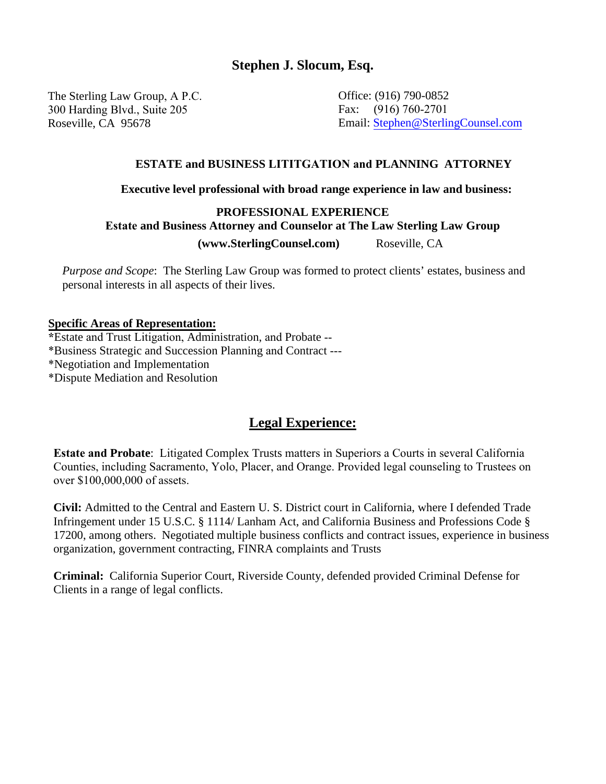## **Stephen J. Slocum, Esq.**

The Sterling Law Group, A P.C. 300 Harding Blvd., Suite 205

Office: (916) 790-0852 Fax: (916) 760-2701 Roseville, CA 95678 Email: [Stephen@SterlingCounsel.com](mailto:Stephen@sjslocum.com)

#### **ESTATE and BUSINESS LITITGATION and PLANNING ATTORNEY**

#### **Executive level professional with broad range experience in law and business:**

### **PROFESSIONAL EXPERIENCE Estate and Business Attorney and Counselor at The Law Sterling Law Group (www.SterlingCounsel.com)** Roseville, CA

 *Purpose and Scope*: The Sterling Law Group was formed to protect clients' estates, business and personal interests in all aspects of their lives.

#### **Specific Areas of Representation:**

**\***Estate and Trust Litigation, Administration, and Probate -- \*Business Strategic and Succession Planning and Contract ---

\*Negotiation and Implementation

\*Dispute Mediation and Resolution

# **Legal Experience:**

**Estate and Probate**: Litigated Complex Trusts matters in Superiors a Courts in several California Counties, including Sacramento, Yolo, Placer, and Orange. Provided legal counseling to Trustees on over \$100,000,000 of assets.

**Civil:** Admitted to the Central and Eastern U. S. District court in California, where I defended Trade Infringement under 15 U.S.C. § 1114/ Lanham Act, and California Business and Professions Code § 17200, among others. Negotiated multiple business conflicts and contract issues, experience in business organization, government contracting, FINRA complaints and Trusts

**Criminal:** California Superior Court, Riverside County, defended provided Criminal Defense for Clients in a range of legal conflicts.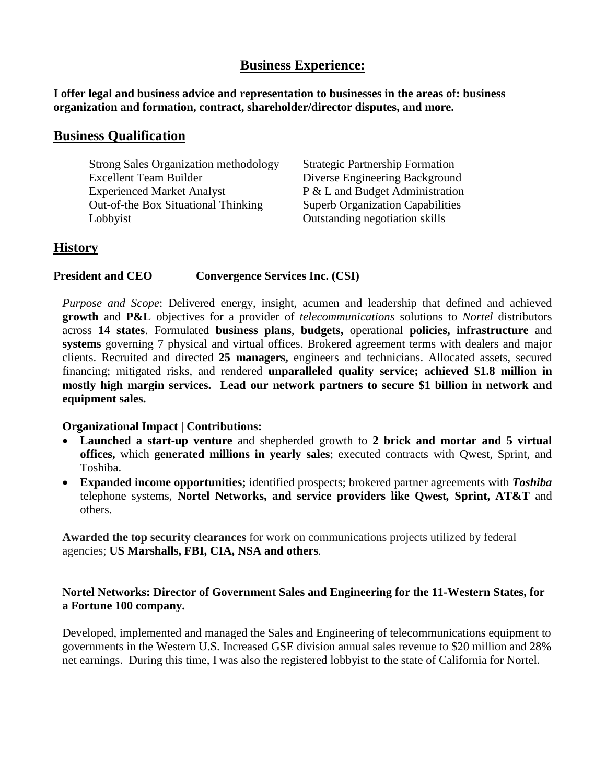# **Business Experience:**

**I offer legal and business advice and representation to businesses in the areas of: business organization and formation, contract, shareholder/director disputes, and more.**

### **Business Qualification**

| <b>Strong Sales Organization methodology</b> | <b>Strategic Partnership Formation</b>  |
|----------------------------------------------|-----------------------------------------|
| <b>Excellent Team Builder</b>                | Diverse Engineering Background          |
| <b>Experienced Market Analyst</b>            | P & L and Budget Administration         |
| Out-of-the Box Situational Thinking          | <b>Superb Organization Capabilities</b> |
| Lobbyist                                     | Outstanding negotiation skills          |

# **History**

#### **President and CEO Convergence Services Inc. (CSI)**

*Purpose and Scope*: Delivered energy, insight, acumen and leadership that defined and achieved **growth** and **P&L** objectives for a provider of *telecommunications* solutions to *Nortel* distributors across **14 states**. Formulated **business plans**, **budgets,** operational **policies, infrastructure** and **systems** governing 7 physical and virtual offices. Brokered agreement terms with dealers and major clients. Recruited and directed **25 managers,** engineers and technicians. Allocated assets, secured financing; mitigated risks, and rendered **unparalleled quality service; achieved \$1.8 million in mostly high margin services. Lead our network partners to secure \$1 billion in network and equipment sales.**

### **Organizational Impact | Contributions:**

- **Launched a start-up venture** and shepherded growth to **2 brick and mortar and 5 virtual offices,** which **generated millions in yearly sales**; executed contracts with Qwest, Sprint, and Toshiba.
- **Expanded income opportunities;** identified prospects; brokered partner agreements with *Toshiba* telephone systems, **Nortel Networks, and service providers like Qwest***,* **Sprint, AT&T** and others.

**Awarded the top security clearances** for work on communications projects utilized by federal agencies; **US Marshalls, FBI, CIA, NSA and others***.*

### **Nortel Networks: Director of Government Sales and Engineering for the 11-Western States, for a Fortune 100 company.**

Developed, implemented and managed the Sales and Engineering of telecommunications equipment to governments in the Western U.S. Increased GSE division annual sales revenue to \$20 million and 28% net earnings. During this time, I was also the registered lobbyist to the state of California for Nortel.